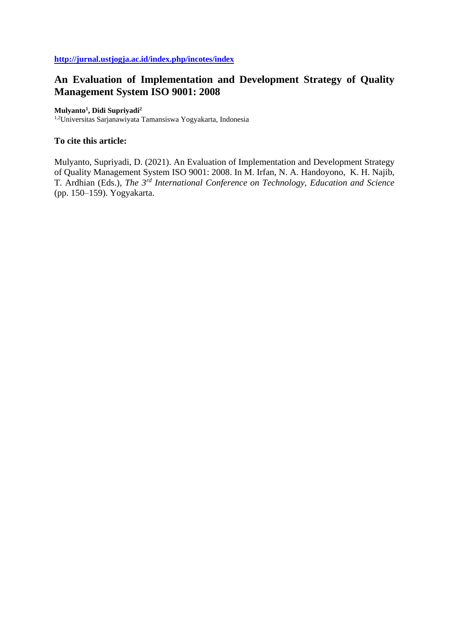# **An Evaluation of Implementation and Development Strategy of Quality Management System ISO 9001: 2008**

## **Mulyanto<sup>1</sup> , Didi Supriyadi<sup>2</sup>**

1,2Universitas Sarjanawiyata Tamansiswa Yogyakarta, Indonesia

# **To cite this article:**

Mulyanto, Supriyadi, D. (2021). An Evaluation of Implementation and Development Strategy of Quality Management System ISO 9001: 2008. In M. Irfan, N. A. Handoyono, K. H. Najib, T. Ardhian (Eds.), *The 3rd International Conference on Technology, Education and Science* (pp. 150–159). Yogyakarta.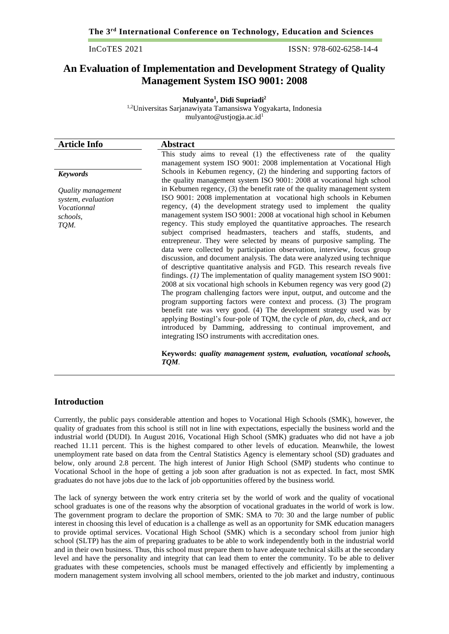InCoTES 2021 ISSN: 978-602-6258-14-4

# **An Evaluation of Implementation and Development Strategy of Quality Management System ISO 9001: 2008**

**Mulyanto<sup>1</sup> , Didi Supriadi<sup>2</sup>** 1,2Universitas Sarjanawiyata Tamansiswa Yogyakarta, Indonesia [mulyanto@ustjogja.ac.id](mailto:mulyanto@ustjogja.ac.id)<sup>1</sup>

| <b>Article Info</b>                                                         | <b>Abstract</b>                                                                                                                                                                                                                                                                                                                                                                                                                                                                                                                                                                                                                                                                                                                                                                                                                                                                                                                                                                                                                                                                                                                                  |
|-----------------------------------------------------------------------------|--------------------------------------------------------------------------------------------------------------------------------------------------------------------------------------------------------------------------------------------------------------------------------------------------------------------------------------------------------------------------------------------------------------------------------------------------------------------------------------------------------------------------------------------------------------------------------------------------------------------------------------------------------------------------------------------------------------------------------------------------------------------------------------------------------------------------------------------------------------------------------------------------------------------------------------------------------------------------------------------------------------------------------------------------------------------------------------------------------------------------------------------------|
|                                                                             | This study aims to reveal (1) the effectiveness rate of the quality                                                                                                                                                                                                                                                                                                                                                                                                                                                                                                                                                                                                                                                                                                                                                                                                                                                                                                                                                                                                                                                                              |
|                                                                             | management system ISO 9001: 2008 implementation at Vocational High                                                                                                                                                                                                                                                                                                                                                                                                                                                                                                                                                                                                                                                                                                                                                                                                                                                                                                                                                                                                                                                                               |
| <b>Keywords</b>                                                             | Schools in Kebumen regency, (2) the hindering and supporting factors of<br>the quality management system ISO 9001: 2008 at vocational high school                                                                                                                                                                                                                                                                                                                                                                                                                                                                                                                                                                                                                                                                                                                                                                                                                                                                                                                                                                                                |
| Quality management<br>system, evaluation<br>Vocationnal<br>schools,<br>TQM. | in Kebumen regency, (3) the benefit rate of the quality management system<br>ISO 9001: 2008 implementation at vocational high schools in Kebumen<br>regency, (4) the development strategy used to implement the quality<br>management system ISO 9001: 2008 at vocational high school in Kebumen<br>regency. This study employed the quantitative approaches. The research<br>subject comprised headmasters, teachers and staffs, students, and<br>entrepreneur. They were selected by means of purposive sampling. The<br>data were collected by participation observation, interview, focus group<br>discussion, and document analysis. The data were analyzed using technique<br>of descriptive quantitative analysis and FGD. This research reveals five<br>findings. $(1)$ The implementation of quality management system ISO 9001:<br>2008 at six vocational high schools in Kebumen regency was very good (2)<br>The program challenging factors were input, output, and outcome and the<br>program supporting factors were context and process. (3) The program<br>benefit rate was very good. (4) The development strategy used was by |
|                                                                             | applying Bostingl's four-pole of TQM, the cycle of plan, do, check, and act<br>introduced by Damming, addressing to continual improvement, and<br>integrating ISO instruments with accreditation ones.                                                                                                                                                                                                                                                                                                                                                                                                                                                                                                                                                                                                                                                                                                                                                                                                                                                                                                                                           |
|                                                                             | Keywords: quality management system, evaluation, vocational schools,<br>TQM.                                                                                                                                                                                                                                                                                                                                                                                                                                                                                                                                                                                                                                                                                                                                                                                                                                                                                                                                                                                                                                                                     |

# **Introduction**

Currently, the public pays considerable attention and hopes to Vocational High Schools (SMK), however, the quality of graduates from this school is still not in line with expectations, especially the business world and the industrial world (DUDI). In August 2016, Vocational High School (SMK) graduates who did not have a job reached 11.11 percent. This is the highest compared to other levels of education. Meanwhile, the lowest unemployment rate based on data from the Central Statistics Agency is elementary school (SD) graduates and below, only around 2.8 percent. The high interest of Junior High School (SMP) students who continue to Vocational School in the hope of getting a job soon after graduation is not as expected. In fact, most SMK graduates do not have jobs due to the lack of job opportunities offered by the business world.

The lack of synergy between the work entry criteria set by the world of work and the quality of vocational school graduates is one of the reasons why the absorption of vocational graduates in the world of work is low. The government program to declare the proportion of SMK: SMA to 70: 30 and the large number of public interest in choosing this level of education is a challenge as well as an opportunity for SMK education managers to provide optimal services. Vocational High School (SMK) which is a secondary school from junior high school (SLTP) has the aim of preparing graduates to be able to work independently both in the industrial world and in their own business. Thus, this school must prepare them to have adequate technical skills at the secondary level and have the personality and integrity that can lead them to enter the community. To be able to deliver graduates with these competencies, schools must be managed effectively and efficiently by implementing a modern management system involving all school members, oriented to the job market and industry, continuous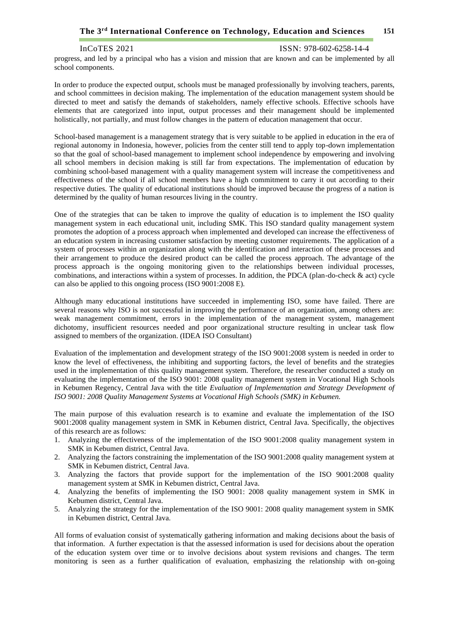# **The 3 151 rd International Conference on Technology, Education and Sciences**

InCoTES 2021 ISSN: 978-602-6258-14-4

progress, and led by a principal who has a vision and mission that are known and can be implemented by all school components.

In order to produce the expected output, schools must be managed professionally by involving teachers, parents, and school committees in decision making. The implementation of the education management system should be directed to meet and satisfy the demands of stakeholders, namely effective schools. Effective schools have elements that are categorized into input, output processes and their management should be implemented holistically, not partially, and must follow changes in the pattern of education management that occur.

School-based management is a management strategy that is very suitable to be applied in education in the era of regional autonomy in Indonesia, however, policies from the center still tend to apply top-down implementation so that the goal of school-based management to implement school independence by empowering and involving all school members in decision making is still far from expectations. The implementation of education by combining school-based management with a quality management system will increase the competitiveness and effectiveness of the school if all school members have a high commitment to carry it out according to their respective duties. The quality of educational institutions should be improved because the progress of a nation is determined by the quality of human resources living in the country.

One of the strategies that can be taken to improve the quality of education is to implement the ISO quality management system in each educational unit, including SMK. This ISO standard quality management system promotes the adoption of a process approach when implemented and developed can increase the effectiveness of an education system in increasing customer satisfaction by meeting customer requirements. The application of a system of processes within an organization along with the identification and interaction of these processes and their arrangement to produce the desired product can be called the process approach. The advantage of the process approach is the ongoing monitoring given to the relationships between individual processes, combinations, and interactions within a system of processes. In addition, the PDCA (plan-do-check & act) cycle can also be applied to this ongoing process (ISO 9001:2008 E).

Although many educational institutions have succeeded in implementing ISO, some have failed. There are several reasons why ISO is not successful in improving the performance of an organization, among others are: weak management commitment, errors in the implementation of the management system, management dichotomy, insufficient resources needed and poor organizational structure resulting in unclear task flow assigned to members of the organization. (IDEA ISO Consultant)

Evaluation of the implementation and development strategy of the ISO 9001:2008 system is needed in order to know the level of effectiveness, the inhibiting and supporting factors, the level of benefits and the strategies used in the implementation of this quality management system. Therefore, the researcher conducted a study on evaluating the implementation of the ISO 9001: 2008 quality management system in Vocational High Schools in Kebumen Regency, Central Java with the title *Evaluation of Implementation and Strategy Development of ISO 9001: 2008 Quality Management Systems at Vocational High Schools (SMK) in Kebumen.*

The main purpose of this evaluation research is to examine and evaluate the implementation of the ISO 9001:2008 quality management system in SMK in Kebumen district, Central Java. Specifically, the objectives of this research are as follows:

- 1. Analyzing the effectiveness of the implementation of the ISO 9001:2008 quality management system in SMK in Kebumen district, Central Java.
- 2. Analyzing the factors constraining the implementation of the ISO 9001:2008 quality management system at SMK in Kebumen district, Central Java.
- 3. Analyzing the factors that provide support for the implementation of the ISO 9001:2008 quality management system at SMK in Kebumen district, Central Java.
- 4. Analyzing the benefits of implementing the ISO 9001: 2008 quality management system in SMK in Kebumen district, Central Java.
- 5. Analyzing the strategy for the implementation of the ISO 9001: 2008 quality management system in SMK in Kebumen district, Central Java.

All forms of evaluation consist of systematically gathering information and making decisions about the basis of that information. A further expectation is that the assessed information is used for decisions about the operation of the education system over time or to involve decisions about system revisions and changes. The term monitoring is seen as a further qualification of evaluation, emphasizing the relationship with on-going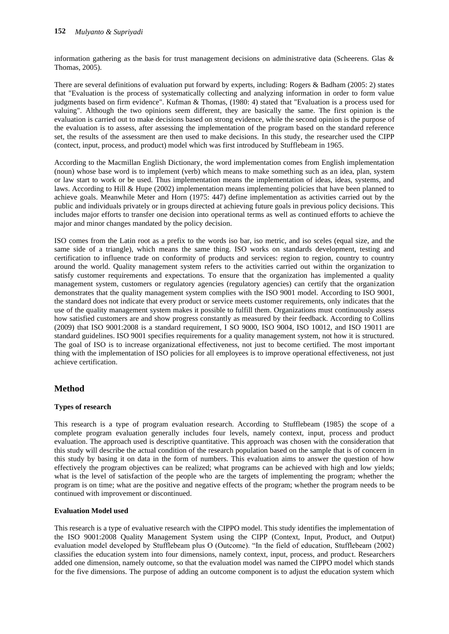information gathering as the basis for trust management decisions on administrative data (Scheerens. Glas & Thomas, 2005).

There are several definitions of evaluation put forward by experts, including: Rogers & Badham (2005: 2) states that "Evaluation is the process of systematically collecting and analyzing information in order to form value judgments based on firm evidence". Kufman & Thomas, (1980: 4) stated that "Evaluation is a process used for valuing". Although the two opinions seem different, they are basically the same. The first opinion is the evaluation is carried out to make decisions based on strong evidence, while the second opinion is the purpose of the evaluation is to assess, after assessing the implementation of the program based on the standard reference set, the results of the assessment are then used to make decisions. In this study, the researcher used the CIPP (contect, input, process, and product) model which was first introduced by Stufflebeam in 1965.

According to the Macmillan English Dictionary, the word implementation comes from English implementation (noun) whose base word is to implement (verb) which means to make something such as an idea, plan, system or law start to work or be used. Thus implementation means the implementation of ideas, ideas, systems, and laws. According to Hill & Hupe (2002) implementation means implementing policies that have been planned to achieve goals. Meanwhile Meter and Horn (1975: 447) define implementation as activities carried out by the public and individuals privately or in groups directed at achieving future goals in previous policy decisions. This includes major efforts to transfer one decision into operational terms as well as continued efforts to achieve the major and minor changes mandated by the policy decision.

ISO comes from the Latin root as a prefix to the words iso bar, iso metric, and iso sceles (equal size, and the same side of a triangle), which means the same thing. ISO works on standards development, testing and certification to influence trade on conformity of products and services: region to region, country to country around the world. Quality management system refers to the activities carried out within the organization to satisfy customer requirements and expectations. To ensure that the organization has implemented a quality management system, customers or regulatory agencies (regulatory agencies) can certify that the organization demonstrates that the quality management system complies with the ISO 9001 model. According to ISO 9001, the standard does not indicate that every product or service meets customer requirements, only indicates that the use of the quality management system makes it possible to fulfill them. Organizations must continuously assess how satisfied customers are and show progress constantly as measured by their feedback. According to Collins (2009) that ISO 9001:2008 is a standard requirement, I SO 9000, ISO 9004, ISO 10012, and ISO 19011 are standard guidelines. ISO 9001 specifies requirements for a quality management system, not how it is structured. The goal of ISO is to increase organizational effectiveness, not just to become certified. The most important thing with the implementation of ISO policies for all employees is to improve operational effectiveness, not just achieve certification.

# **Method**

## **Types of research**

This research is a type of program evaluation research. According to Stufflebeam (1985) the scope of a complete program evaluation generally includes four levels, namely context, input, process and product evaluation. The approach used is descriptive quantitative. This approach was chosen with the consideration that this study will describe the actual condition of the research population based on the sample that is of concern in this study by basing it on data in the form of numbers. This evaluation aims to answer the question of how effectively the program objectives can be realized; what programs can be achieved with high and low yields; what is the level of satisfaction of the people who are the targets of implementing the program; whether the program is on time; what are the positive and negative effects of the program; whether the program needs to be continued with improvement or discontinued.

#### **Evaluation Model used**

This research is a type of evaluative research with the CIPPO model. This study identifies the implementation of the ISO 9001:2008 Quality Management System using the CIPP (Context, Input, Product, and Output) evaluation model developed by Stufflebeam plus O (Outcome). "In the field of education, Stufflebeam (2002) classifies the education system into four dimensions, namely context, input, process, and product. Researchers added one dimension, namely outcome, so that the evaluation model was named the CIPPO model which stands for the five dimensions. The purpose of adding an outcome component is to adjust the education system which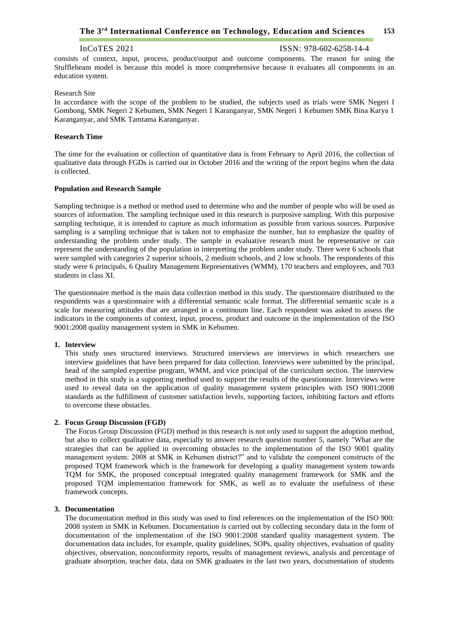## InCoTES 2021 ISSN: 978-602-6258-14-4

consists of context, input, process, product/output and outcome components. The reason for using the Stufflebeam model is because this model is more comprehensive because it evaluates all components in an education system.

#### Research Site

In accordance with the scope of the problem to be studied, the subjects used as trials were SMK Negeri I Gombong, SMK Negeri 2 Kebumen, SMK Negeri 1 Karanganyar, SMK Negeri 1 Kebumen SMK Bina Karya 1 Karanganyar, and SMK Tamtama Karanganyar.

#### **Research Time**

The time for the evaluation or collection of quantitative data is from February to April 2016, the collection of qualitative data through FGDs is carried out in October 2016 and the writing of the report begins when the data is collected.

#### **Population and Research Sample**

Sampling technique is a method or method used to determine who and the number of people who will be used as sources of information. The sampling technique used in this research is purposive sampling. With this purposive sampling technique, it is intended to capture as much information as possible from various sources. Purposive sampling is a sampling technique that is taken not to emphasize the number, but to emphasize the quality of understanding the problem under study. The sample in evaluative research must be representative or can represent the understanding of the population in interpreting the problem under study. There were 6 schools that were sampled with categories 2 superior schools, 2 medium schools, and 2 low schools. The respondents of this study were 6 principals, 6 Quality Management Representatives (WMM), 170 teachers and employees, and 703 students in class XI.

The questionnaire method is the main data collection method in this study. The questionnaire distributed to the respondents was a questionnaire with a differential semantic scale format. The differential semantic scale is a scale for measuring attitudes that are arranged in a continuum line. Each respondent was asked to assess the indicators in the components of context, input, process, product and outcome in the implementation of the ISO 9001:2008 quality management system in SMK in Kebumen.

### **1. Interview**

This study uses structured interviews. Structured interviews are interviews in which researchers use interview guidelines that have been prepared for data collection. Interviews were submitted by the principal, head of the sampled expertise program, WMM, and vice principal of the curriculum section. The interview method in this study is a supporting method used to support the results of the questionnaire. Interviews were used to reveal data on the application of quality management system principles with ISO 9001:2008 standards as the fulfillment of customer satisfaction levels, supporting factors, inhibiting factors and efforts to overcome these obstacles.

#### **2. Focus Group Discussion (FGD)**

The Focus Group Discussion (FGD) method in this research is not only used to support the adoption method, but also to collect qualitative data, especially to answer research question number 5, namely "What are the strategies that can be applied in overcoming obstacles to the implementation of the ISO 9001 quality management system: 2008 at SMK in Kebumen district?" and to validate the component constructs of the proposed TQM framework which is the framework for developing a quality management system towards TQM for SMK, the proposed conceptual integrated quality management framework for SMK and the proposed TQM implementation framework for SMK, as well as to evaluate the usefulness of these framework concepts.

#### **3. Documentation**

The documentation method in this study was used to find references on the implementation of the ISO 900: 2008 system in SMK in Kebumen. Documentation is carried out by collecting secondary data in the form of documentation of the implementation of the ISO 9001:2008 standard quality management system. The documentation data includes, for example, quality guidelines, SOPs, quality objectives, evaluation of quality objectives, observation, nonconformity reports, results of management reviews, analysis and percentage of graduate absorption, teacher data, data on SMK graduates in the last two years, documentation of students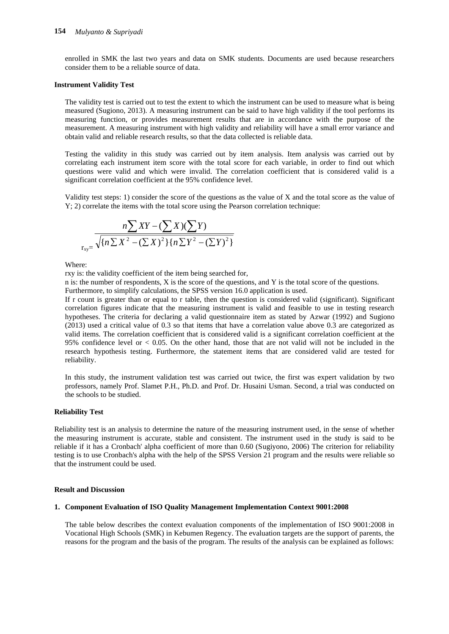enrolled in SMK the last two years and data on SMK students. Documents are used because researchers consider them to be a reliable source of data.

### **Instrument Validity Test**

The validity test is carried out to test the extent to which the instrument can be used to measure what is being measured (Sugiono, 2013). A measuring instrument can be said to have high validity if the tool performs its measuring function, or provides measurement results that are in accordance with the purpose of the measurement. A measuring instrument with high validity and reliability will have a small error variance and obtain valid and reliable research results, so that the data collected is reliable data.

Testing the validity in this study was carried out by item analysis. Item analysis was carried out by correlating each instrument item score with the total score for each variable, in order to find out which questions were valid and which were invalid. The correlation coefficient that is considered valid is a significant correlation coefficient at the 95% confidence level.

Validity test steps: 1) consider the score of the questions as the value of X and the total score as the value of Y; 2) correlate the items with the total score using the Pearson correlation technique:

$$
\frac{n\sum XY - (\sum X)(\sum Y)}{\sqrt{\{n\sum X^2 - (\sum X)^2\}\{n\sum Y^2 - (\sum Y)^2\}}}
$$

Where:

rxy is: the validity coefficient of the item being searched for,

n is: the number of respondents, X is the score of the questions, and Y is the total score of the questions. Furthermore, to simplify calculations, the SPSS version 16.0 application is used.

If r count is greater than or equal to r table, then the question is considered valid (significant). Significant correlation figures indicate that the measuring instrument is valid and feasible to use in testing research hypotheses. The criteria for declaring a valid questionnaire item as stated by Azwar (1992) and Sugiono (2013) used a critical value of 0.3 so that items that have a correlation value above 0.3 are categorized as valid items. The correlation coefficient that is considered valid is a significant correlation coefficient at the 95% confidence level or < 0.05. On the other hand, those that are not valid will not be included in the research hypothesis testing. Furthermore, the statement items that are considered valid are tested for reliability.

In this study, the instrument validation test was carried out twice, the first was expert validation by two professors, namely Prof. Slamet P.H., Ph.D. and Prof. Dr. Husaini Usman. Second, a trial was conducted on the schools to be studied.

#### **Reliability Test**

Reliability test is an analysis to determine the nature of the measuring instrument used, in the sense of whether the measuring instrument is accurate, stable and consistent. The instrument used in the study is said to be reliable if it has a Cronbach' alpha coefficient of more than 0.60 (Sugiyono, 2006) The criterion for reliability testing is to use Cronbach's alpha with the help of the SPSS Version 21 program and the results were reliable so that the instrument could be used.

#### **Result and Discussion**

### **1. Component Evaluation of ISO Quality Management Implementation Context 9001:2008**

The table below describes the context evaluation components of the implementation of ISO 9001:2008 in Vocational High Schools (SMK) in Kebumen Regency. The evaluation targets are the support of parents, the reasons for the program and the basis of the program. The results of the analysis can be explained as follows: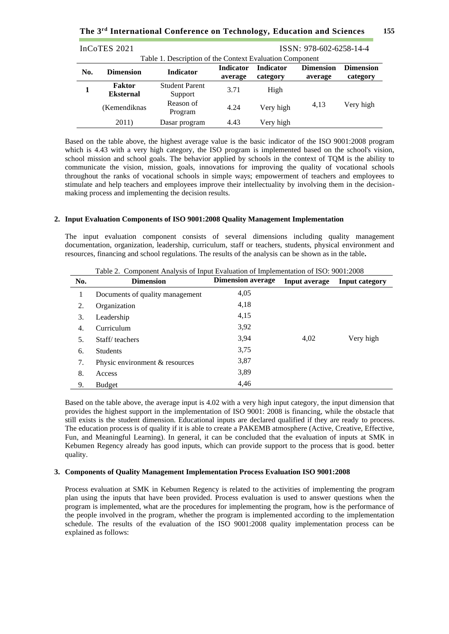**The 3 155 rd International Conference on Technology, Education and Sciences**

| InCoTES 2021                                                                                                                              |                                   |                                                          |      |           | ISSN: 978-602-6258-14-4 |                              |
|-------------------------------------------------------------------------------------------------------------------------------------------|-----------------------------------|----------------------------------------------------------|------|-----------|-------------------------|------------------------------|
|                                                                                                                                           |                                   | Table 1. Description of the Context Evaluation Component |      |           |                         |                              |
| <b>Indicator</b><br><b>Dimension</b><br><b>Indicator</b><br><b>Dimension</b><br>No.<br><b>Indicator</b><br>category<br>average<br>average |                                   |                                                          |      |           |                         | <b>Dimension</b><br>category |
|                                                                                                                                           | <b>Faktor</b><br><b>Eksternal</b> | <b>Student Parent</b><br>Support                         | 3.71 | High      |                         |                              |
|                                                                                                                                           | (Kemendiknas                      | Reason of<br>Program                                     | 4.24 | Very high | 4,13                    | Very high                    |
|                                                                                                                                           | 2011)                             | Dasar program                                            | 4.43 | Very high |                         |                              |

Based on the table above, the highest average value is the basic indicator of the ISO 9001:2008 program which is 4.43 with a very high category, the ISO program is implemented based on the school's vision, school mission and school goals. The behavior applied by schools in the context of TQM is the ability to communicate the vision, mission, goals, innovations for improving the quality of vocational schools throughout the ranks of vocational schools in simple ways; empowerment of teachers and employees to stimulate and help teachers and employees improve their intellectuality by involving them in the decisionmaking process and implementing the decision results.

#### **2. Input Evaluation Components of ISO 9001:2008 Quality Management Implementation**

The input evaluation component consists of several dimensions including quality management documentation, organization, leadership, curriculum, staff or teachers, students, physical environment and resources, financing and school regulations. The results of the analysis can be shown as in the table**.**

| No. | <b>Dimension</b>                | <b>Dimension average</b> | Input average | Input category |
|-----|---------------------------------|--------------------------|---------------|----------------|
| 1   | Documents of quality management | 4,05                     |               |                |
| 2.  | Organization                    | 4,18                     |               |                |
| 3.  | Leadership                      | 4,15                     |               |                |
| 4.  | Curriculum                      | 3,92                     |               |                |
| 5.  | Staff/teachers                  | 3.94                     | 4,02          | Very high      |
| 6.  | <b>Students</b>                 | 3,75                     |               |                |
| 7.  | Physic environment & resources  | 3,87                     |               |                |
| 8.  | Access                          | 3,89                     |               |                |
| 9.  | <b>Budget</b>                   | 4,46                     |               |                |

Table 2. Component Analysis of Input Evaluation of Implementation of ISO: 9001:2008

Based on the table above, the average input is 4.02 with a very high input category, the input dimension that provides the highest support in the implementation of ISO 9001: 2008 is financing, while the obstacle that still exists is the student dimension. Educational inputs are declared qualified if they are ready to process. The education process is of quality if it is able to create a PAKEMB atmosphere (Active, Creative, Effective, Fun, and Meaningful Learning). In general, it can be concluded that the evaluation of inputs at SMK in Kebumen Regency already has good inputs, which can provide support to the process that is good. better quality.

#### **3. Components of Quality Management Implementation Process Evaluation ISO 9001:2008**

Process evaluation at SMK in Kebumen Regency is related to the activities of implementing the program plan using the inputs that have been provided. Process evaluation is used to answer questions when the program is implemented, what are the procedures for implementing the program, how is the performance of the people involved in the program, whether the program is implemented according to the implementation schedule. The results of the evaluation of the ISO 9001:2008 quality implementation process can be explained as follows: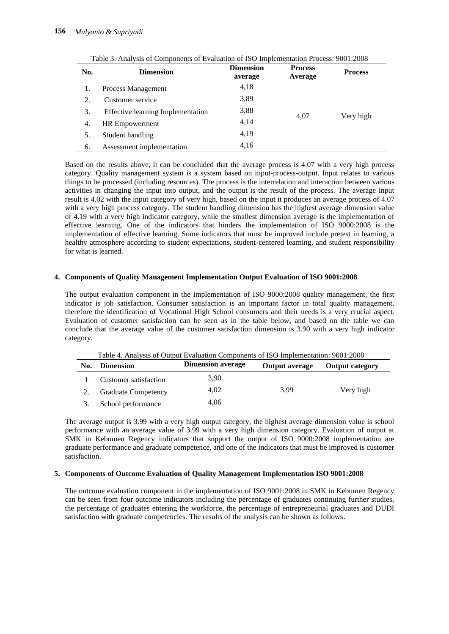| No. | <b>Dimension</b>                         | <b>Dimension</b><br>average | <b>Process</b><br>Average | <b>Process</b> |
|-----|------------------------------------------|-----------------------------|---------------------------|----------------|
|     | Process Management                       | 4,18                        |                           |                |
| 2.  | Customer service                         | 3,89                        |                           |                |
| 3.  | <b>Effective learning Implementation</b> | 3,88                        | 4.07                      | Very high      |
| 4.  | <b>HR</b> Empowerment                    | 4,14                        |                           |                |
| 5.  | Student handling                         | 4,19                        |                           |                |
| 6.  | Assessment implementation                | 4,16                        |                           |                |

Table 3. Analysis of Components of Evaluation of ISO Implementation Process: 9001:2008

Based on the results above, it can be concluded that the average process is 4.07 with a very high process category. Quality management system is a system based on input-process-output. Input relates to various things to be processed (including resources). The process is the interrelation and interaction between various activities in changing the input into output, and the output is the result of the process. The average input result is 4.02 with the input category of very high, based on the input it produces an average process of 4.07 with a very high process category. The student handling dimension has the highest average dimension value of 4.19 with a very high indicator category, while the smallest dimension average is the implementation of effective learning. One of the indicators that hinders the implementation of ISO 9000:2008 is the implementation of effective learning. Some indicators that must be improved include pretest in learning, a healthy atmosphere according to student expectations, student-centered learning, and student responsibility for what is learned.

### **4. Components of Quality Management Implementation Output Evaluation of ISO 9001:2008**

The output evaluation component in the implementation of ISO 9000:2008 quality management, the first indicator is job satisfaction. Consumer satisfaction is an important factor in total quality management, therefore the identification of Vocational High School consumers and their needs is a very crucial aspect. Evaluation of customer satisfaction can be seen as in the table below, and based on the table we can conclude that the average value of the customer satisfaction dimension is 3.90 with a very high indicator category.

|     | Table 4. Analysis of Output Evaluation Components of ISO Implementation: 9001:2008 |                          |                       |                        |  |  |  |
|-----|------------------------------------------------------------------------------------|--------------------------|-----------------------|------------------------|--|--|--|
| No. | <b>Dimension</b>                                                                   | <b>Dimension average</b> | <b>Output average</b> | <b>Output category</b> |  |  |  |
|     | Customer satisfaction                                                              | 3.90                     |                       |                        |  |  |  |
|     | <b>Graduate Competency</b>                                                         | 4,02                     | 3.99                  | Very high              |  |  |  |
|     | School performance                                                                 | 4.06                     |                       |                        |  |  |  |

The average output is 3.99 with a very high output category, the highest average dimension value is school performance with an average value of 3.99 with a very high dimension category. Evaluation of output at SMK in Kebumen Regency indicators that support the output of ISO 9000:2008 implementation are graduate performance and graduate competence, and one of the indicators that must be improved is customer satisfaction.

## **5. Components of Outcome Evaluation of Quality Management Implementation ISO 9001:2008**

The outcome evaluation component in the implementation of ISO 9001:2008 in SMK in Kebumen Regency can be seen from four outcome indicators including the percentage of graduates continuing further studies, the percentage of graduates entering the workforce, the percentage of entrepreneurial graduates and DUDI satisfaction with graduate competencies. The results of the analysis can be shown as follows.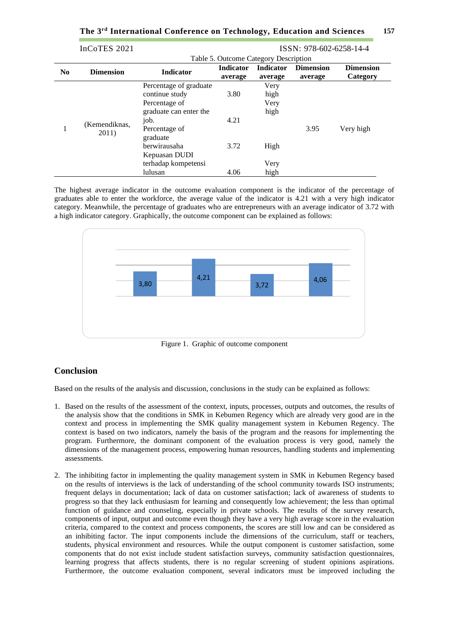|  |  |  |  | The 3 <sup>rd</sup> International Conference on Technology, Education and Sciences | - 157 |
|--|--|--|--|------------------------------------------------------------------------------------|-------|
|--|--|--|--|------------------------------------------------------------------------------------|-------|

|                | InCoTES 2021           | ISSN: 978-602-6258-14-4 |                                       |                  |                  |                  |
|----------------|------------------------|-------------------------|---------------------------------------|------------------|------------------|------------------|
|                |                        |                         | Table 5. Outcome Category Description |                  |                  |                  |
| N <sub>0</sub> | <b>Dimension</b>       | <b>Indicator</b>        | <b>Indicator</b>                      | <b>Indicator</b> | <b>Dimension</b> | <b>Dimension</b> |
|                |                        |                         | average                               | average          | average          | Category         |
|                |                        | Percentage of graduate  |                                       | Very             |                  |                  |
|                |                        | continue study          | 3.80                                  | high             |                  |                  |
|                | (Kemendiknas,<br>2011) | Percentage of           |                                       | Very             |                  |                  |
|                |                        | graduate can enter the  |                                       | high             |                  |                  |
|                |                        | job.                    | 4.21                                  |                  |                  |                  |
| 1              |                        | Percentage of           |                                       |                  | 3.95             | Very high        |
|                |                        | graduate                |                                       |                  |                  |                  |
|                |                        | berwirausaha            | 3.72                                  | High             |                  |                  |
|                |                        | Kepuasan DUDI           |                                       |                  |                  |                  |
|                |                        | terhadap kompetensi     |                                       | Very             |                  |                  |
|                |                        | lulusan                 | 4.06                                  | high             |                  |                  |

The highest average indicator in the outcome evaluation component is the indicator of the percentage of graduates able to enter the workforce, the average value of the indicator is 4.21 with a very high indicator category. Meanwhile, the percentage of graduates who are entrepreneurs with an average indicator of 3.72 with a high indicator category. Graphically, the outcome component can be explained as follows:



Figure 1. Graphic of outcome component

# **Conclusion**

Based on the results of the analysis and discussion, conclusions in the study can be explained as follows:

- 1. Based on the results of the assessment of the context, inputs, processes, outputs and outcomes, the results of the analysis show that the conditions in SMK in Kebumen Regency which are already very good are in the context and process in implementing the SMK quality management system in Kebumen Regency. The context is based on two indicators, namely the basis of the program and the reasons for implementing the program. Furthermore, the dominant component of the evaluation process is very good, namely the dimensions of the management process, empowering human resources, handling students and implementing assessments.
- 2. The inhibiting factor in implementing the quality management system in SMK in Kebumen Regency based on the results of interviews is the lack of understanding of the school community towards ISO instruments; frequent delays in documentation; lack of data on customer satisfaction; lack of awareness of students to progress so that they lack enthusiasm for learning and consequently low achievement; the less than optimal function of guidance and counseling, especially in private schools. The results of the survey research, components of input, output and outcome even though they have a very high average score in the evaluation criteria, compared to the context and process components, the scores are still low and can be considered as an inhibiting factor. The input components include the dimensions of the curriculum, staff or teachers, students, physical environment and resources. While the output component is customer satisfaction, some components that do not exist include student satisfaction surveys, community satisfaction questionnaires, learning progress that affects students, there is no regular screening of student opinions aspirations. Furthermore, the outcome evaluation component, several indicators must be improved including the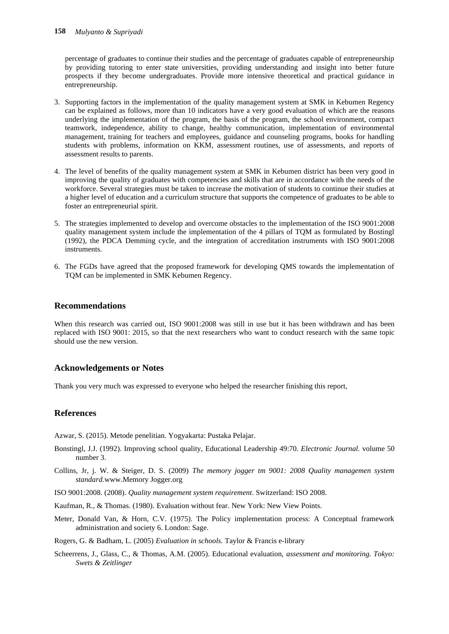percentage of graduates to continue their studies and the percentage of graduates capable of entrepreneurship by providing tutoring to enter state universities, providing understanding and insight into better future prospects if they become undergraduates. Provide more intensive theoretical and practical guidance in entrepreneurship.

- 3. Supporting factors in the implementation of the quality management system at SMK in Kebumen Regency can be explained as follows, more than 10 indicators have a very good evaluation of which are the reasons underlying the implementation of the program, the basis of the program, the school environment, compact teamwork, independence, ability to change, healthy communication, implementation of environmental management, training for teachers and employees, guidance and counseling programs, books for handling students with problems, information on KKM, assessment routines, use of assessments, and reports of assessment results to parents.
- 4. The level of benefits of the quality management system at SMK in Kebumen district has been very good in improving the quality of graduates with competencies and skills that are in accordance with the needs of the workforce. Several strategies must be taken to increase the motivation of students to continue their studies at a higher level of education and a curriculum structure that supports the competence of graduates to be able to foster an entrepreneurial spirit.
- 5. The strategies implemented to develop and overcome obstacles to the implementation of the ISO 9001:2008 quality management system include the implementation of the 4 pillars of TQM as formulated by Bostingl (1992), the PDCA Demming cycle, and the integration of accreditation instruments with ISO 9001:2008 instruments.
- 6. The FGDs have agreed that the proposed framework for developing QMS towards the implementation of TQM can be implemented in SMK Kebumen Regency.

# **Recommendations**

When this research was carried out, ISO 9001:2008 was still in use but it has been withdrawn and has been replaced with ISO 9001: 2015, so that the next researchers who want to conduct research with the same topic should use the new version.

# **Acknowledgements or Notes**

Thank you very much was expressed to everyone who helped the researcher finishing this report,

# **References**

Azwar, S. (2015). Metode penelitian. Yogyakarta: Pustaka Pelajar.

- Bonstingl, J.J. (1992). Improving school quality, Educational Leadership 49:70. *Electronic Journal.* volume 50 number 3.
- Collins, Jr, j. W. & Steiger, D. S. (2009) *The memory jogger tm 9001: 2008 Quality managemen system standard.*www.Memory Jogger.org
- ISO 9001:2008. (2008). *Quality management system requirement*. Switzerland: ISO 2008.
- Kaufman, R., & Thomas. (1980). Evaluation without fear. New York: New View Points.
- Meter, Donald Van, & Horn, C.V. (1975). The Policy implementation process: A Conceptual framework administration and society 6. London: Sage.

Rogers, G. & Badham, L. (2005) *Evaluation in schools.* Taylor & Francis e-library

Scheerrens, J., Glass, C., & Thomas, A.M. (2005). Educational evaluation, *assessment and monitoring. Tokyo: Swets & Zeitlinger*